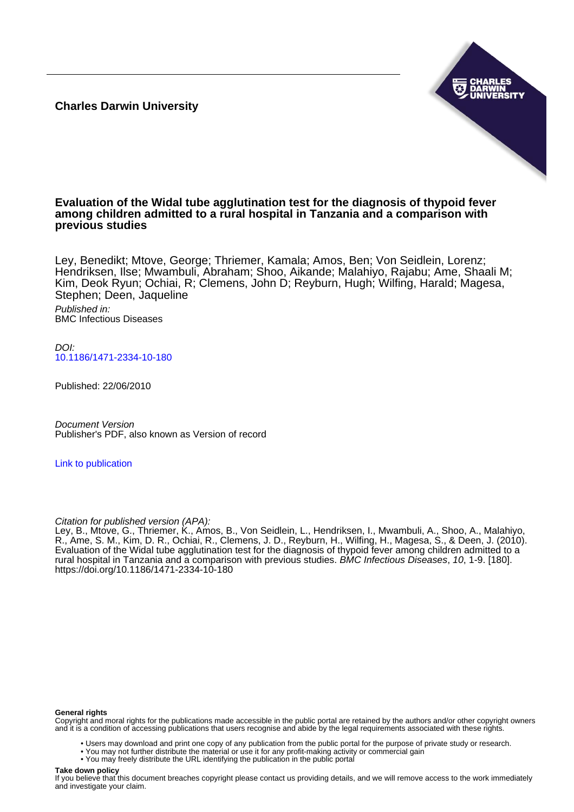**Charles Darwin University**



## **Evaluation of the Widal tube agglutination test for the diagnosis of thypoid fever among children admitted to a rural hospital in Tanzania and a comparison with previous studies**

Ley, Benedikt; Mtove, George; Thriemer, Kamala; Amos, Ben; Von Seidlein, Lorenz; Hendriksen, Ilse; Mwambuli, Abraham; Shoo, Aikande; Malahiyo, Rajabu; Ame, Shaali M; Kim, Deok Ryun; Ochiai, R; Clemens, John D; Reyburn, Hugh; Wilfing, Harald; Magesa, Stephen; Deen, Jaqueline

Published in: BMC Infectious Diseases

DOI: [10.1186/1471-2334-10-180](https://doi.org/10.1186/1471-2334-10-180)

Published: 22/06/2010

Document Version Publisher's PDF, also known as Version of record

[Link to publication](https://researchers.cdu.edu.au/en/publications/4479c8c1-7b87-4a05-8a25-dfc7b79d9b9a)

Citation for published version (APA):

Ley, B., Mtove, G., Thriemer, K., Amos, B., Von Seidlein, L., Hendriksen, I., Mwambuli, A., Shoo, A., Malahiyo, R., Ame, S. M., Kim, D. R., Ochiai, R., Clemens, J. D., Reyburn, H., Wilfing, H., Magesa, S., & Deen, J. (2010). Evaluation of the Widal tube agglutination test for the diagnosis of thypoid fever among children admitted to a rural hospital in Tanzania and a comparison with previous studies. BMC Infectious Diseases, 10, 1-9. [180]. <https://doi.org/10.1186/1471-2334-10-180>

#### **General rights**

Copyright and moral rights for the publications made accessible in the public portal are retained by the authors and/or other copyright owners and it is a condition of accessing publications that users recognise and abide by the legal requirements associated with these rights.

- Users may download and print one copy of any publication from the public portal for the purpose of private study or research.
- You may not further distribute the material or use it for any profit-making activity or commercial gain
- You may freely distribute the URL identifying the publication in the public portal

#### **Take down policy**

If you believe that this document breaches copyright please contact us providing details, and we will remove access to the work immediately and investigate your claim.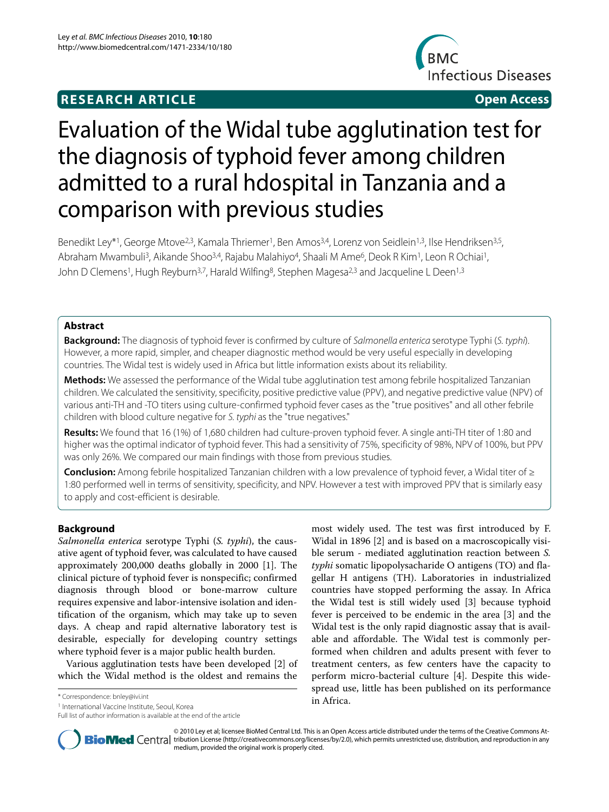## **RESEARCH ARTICLE Open Access**



# Evaluation of the Widal tube agglutination test for the diagnosis of typhoid fever among children admitted to a rural hdospital in Tanzania and a comparison with previous studies

Benedikt Ley<sup>\*1</sup>, George Mtove<sup>2,3</sup>, Kamala Thriemer<sup>1</sup>, Ben Amos<sup>3,4</sup>, Lorenz von Seidlein<sup>1,3</sup>, Ilse Hendriksen<sup>3,5</sup>, Abraham Mwambuli<sup>3</sup>, Aikande Shoo<sup>3,4</sup>, Rajabu Malahiyo<sup>4</sup>, Shaali M Ame<sup>6</sup>, Deok R Kim<sup>1</sup>, Leon R Ochiai<sup>1</sup>, John D Clemens<sup>1</sup>, Hugh Reyburn<sup>3,7</sup>, Harald Wilfing<sup>8</sup>, Stephen Magesa<sup>2,3</sup> and Jacqueline L Deen<sup>1,3</sup>

## **Abstract**

**Background:** The diagnosis of typhoid fever is confirmed by culture of Salmonella enterica serotype Typhi (S. typhi). However, a more rapid, simpler, and cheaper diagnostic method would be very useful especially in developing countries. The Widal test is widely used in Africa but little information exists about its reliability.

**Methods:** We assessed the performance of the Widal tube agglutination test among febrile hospitalized Tanzanian children. We calculated the sensitivity, specificity, positive predictive value (PPV), and negative predictive value (NPV) of various anti-TH and -TO titers using culture-confirmed typhoid fever cases as the "true positives" and all other febrile children with blood culture negative for S. typhi as the "true negatives."

**Results:** We found that 16 (1%) of 1,680 children had culture-proven typhoid fever. A single anti-TH titer of 1:80 and higher was the optimal indicator of typhoid fever. This had a sensitivity of 75%, specificity of 98%, NPV of 100%, but PPV was only 26%. We compared our main findings with those from previous studies.

**Conclusion:** Among febrile hospitalized Tanzanian children with a low prevalence of typhoid fever, a Widal titer of ≥ 1:80 performed well in terms of sensitivity, specificity, and NPV. However a test with improved PPV that is similarly easy to apply and cost-efficient is desirable.

## **Background**

*Salmonella enterica* serotype Typhi (*S. typhi*), the causative agent of typhoid fever, was calculated to have caused approximately 200,000 deaths globally in 2000 [1]. The clinical picture of typhoid fever is nonspecific; confirmed diagnosis through blood or bone-marrow culture requires expensive and labor-intensive isolation and identification of the organism, which may take up to seven days. A cheap and rapid alternative laboratory test is desirable, especially for developing country settings where typhoid fever is a major public health burden.

Various agglutination tests have been developed [2] of which the Widal method is the oldest and remains the

in Africa. \* Correspondence: bnley@ivi.int

1 International Vaccine Institute, Seoul, Korea

Full list of author information is available at the end of the article

most widely used. The test was first introduced by F. Widal in 1896 [2] and is based on a macroscopically visible serum - mediated agglutination reaction between *S. typhi* somatic lipopolysacharide O antigens (TO) and flagellar H antigens (TH). Laboratories in industrialized countries have stopped performing the assay. In Africa the Widal test is still widely used [3] because typhoid fever is perceived to be endemic in the area [3] and the Widal test is the only rapid diagnostic assay that is available and affordable. The Widal test is commonly performed when children and adults present with fever to treatment centers, as few centers have the capacity to perform micro-bacterial culture [4]. Despite this widespread use, little has been published on its performance



© 2010 Ley et al; licensee BioMed Central Ltd. This is an Open Access article distributed under the terms of the Creative Commons At-**Bio Med** Central tribution License (http://creativecommons.org/licenses/by/2.0), which permits unrestricted use, distribution, and reproduction in any medium, provided the original work is properly cited.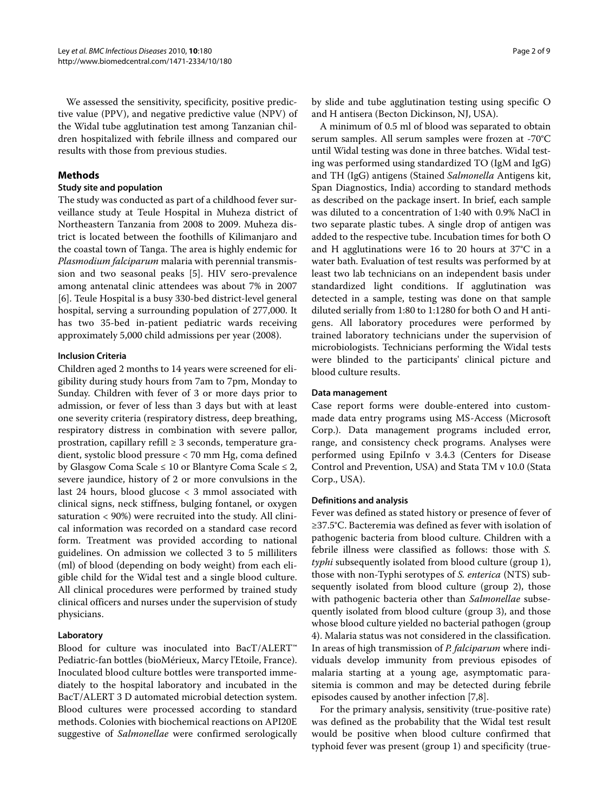We assessed the sensitivity, specificity, positive predictive value (PPV), and negative predictive value (NPV) of the Widal tube agglutination test among Tanzanian children hospitalized with febrile illness and compared our results with those from previous studies.

## **Methods**

#### **Study site and population**

The study was conducted as part of a childhood fever surveillance study at Teule Hospital in Muheza district of Northeastern Tanzania from 2008 to 2009. Muheza district is located between the foothills of Kilimanjaro and the coastal town of Tanga. The area is highly endemic for *Plasmodium falciparum* malaria with perennial transmission and two seasonal peaks [5]. HIV sero-prevalence among antenatal clinic attendees was about 7% in 2007 [6]. Teule Hospital is a busy 330-bed district-level general hospital, serving a surrounding population of 277,000. It has two 35-bed in-patient pediatric wards receiving approximately 5,000 child admissions per year (2008).

#### **Inclusion Criteria**

Children aged 2 months to 14 years were screened for eligibility during study hours from 7am to 7pm, Monday to Sunday. Children with fever of 3 or more days prior to admission, or fever of less than 3 days but with at least one severity criteria (respiratory distress, deep breathing, respiratory distress in combination with severe pallor, prostration, capillary refill  $\geq$  3 seconds, temperature gradient, systolic blood pressure < 70 mm Hg, coma defined by Glasgow Coma Scale  $\leq 10$  or Blantyre Coma Scale  $\leq 2$ , severe jaundice, history of 2 or more convulsions in the last 24 hours, blood glucose < 3 mmol associated with clinical signs, neck stiffness, bulging fontanel, or oxygen saturation < 90%) were recruited into the study. All clinical information was recorded on a standard case record form. Treatment was provided according to national guidelines. On admission we collected 3 to 5 milliliters (ml) of blood (depending on body weight) from each eligible child for the Widal test and a single blood culture. All clinical procedures were performed by trained study clinical officers and nurses under the supervision of study physicians.

## **Laboratory**

Blood for culture was inoculated into BacT/ALERT™ Pediatric-fan bottles (bioMérieux, Marcy l'Etoile, France). Inoculated blood culture bottles were transported immediately to the hospital laboratory and incubated in the BacT/ALERT 3 D automated microbial detection system. Blood cultures were processed according to standard methods. Colonies with biochemical reactions on API20E suggestive of *Salmonellae* were confirmed serologically

by slide and tube agglutination testing using specific O and H antisera (Becton Dickinson, NJ, USA).

A minimum of 0.5 ml of blood was separated to obtain serum samples. All serum samples were frozen at -70°C until Widal testing was done in three batches. Widal testing was performed using standardized TO (IgM and IgG) and TH (IgG) antigens (Stained *Salmonella* Antigens kit, Span Diagnostics, India) according to standard methods as described on the package insert. In brief, each sample was diluted to a concentration of 1:40 with 0.9% NaCl in two separate plastic tubes. A single drop of antigen was added to the respective tube. Incubation times for both O and H agglutinations were 16 to 20 hours at 37°C in a water bath. Evaluation of test results was performed by at least two lab technicians on an independent basis under standardized light conditions. If agglutination was detected in a sample, testing was done on that sample diluted serially from 1:80 to 1:1280 for both O and H antigens. All laboratory procedures were performed by trained laboratory technicians under the supervision of microbiologists. Technicians performing the Widal tests were blinded to the participants' clinical picture and blood culture results.

#### **Data management**

Case report forms were double-entered into custommade data entry programs using MS-Access (Microsoft Corp.). Data management programs included error, range, and consistency check programs. Analyses were performed using EpiInfo v 3.4.3 (Centers for Disease Control and Prevention, USA) and Stata TM v 10.0 (Stata Corp., USA).

#### **Definitions and analysis**

Fever was defined as stated history or presence of fever of ≥37.5°C. Bacteremia was defined as fever with isolation of pathogenic bacteria from blood culture. Children with a febrile illness were classified as follows: those with *S. typhi* subsequently isolated from blood culture (group 1), those with non-Typhi serotypes of *S. enterica* (NTS) subsequently isolated from blood culture (group 2), those with pathogenic bacteria other than *Salmonellae* subsequently isolated from blood culture (group 3), and those whose blood culture yielded no bacterial pathogen (group 4). Malaria status was not considered in the classification. In areas of high transmission of *P. falciparum* where individuals develop immunity from previous episodes of malaria starting at a young age, asymptomatic parasitemia is common and may be detected during febrile episodes caused by another infection [7,8].

For the primary analysis, sensitivity (true-positive rate) was defined as the probability that the Widal test result would be positive when blood culture confirmed that typhoid fever was present (group 1) and specificity (true-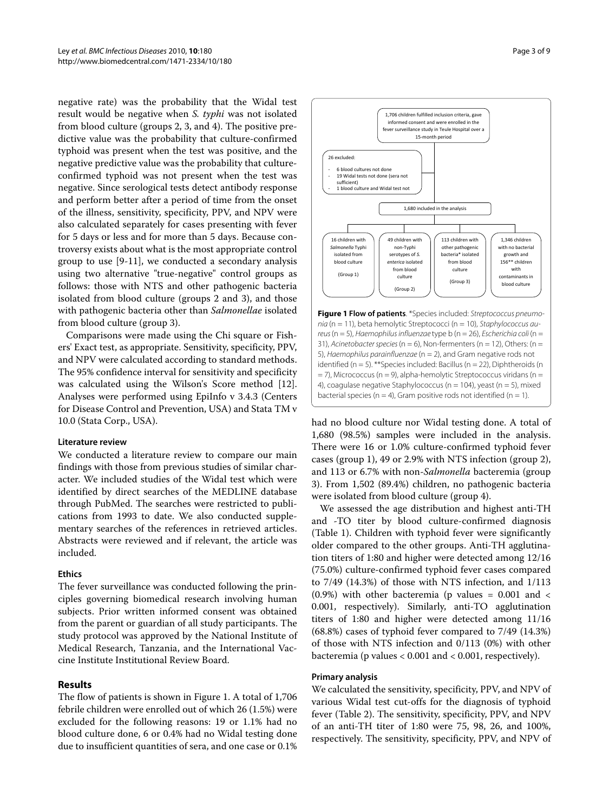negative rate) was the probability that the Widal test result would be negative when *S. typhi* was not isolated from blood culture (groups 2, 3, and 4). The positive predictive value was the probability that culture-confirmed typhoid was present when the test was positive, and the negative predictive value was the probability that cultureconfirmed typhoid was not present when the test was negative. Since serological tests detect antibody response and perform better after a period of time from the onset of the illness, sensitivity, specificity, PPV, and NPV were also calculated separately for cases presenting with fever for 5 days or less and for more than 5 days. Because controversy exists about what is the most appropriate control group to use [9-11], we conducted a secondary analysis using two alternative "true-negative" control groups as follows: those with NTS and other pathogenic bacteria isolated from blood culture (groups 2 and 3), and those with pathogenic bacteria other than *Salmonellae* isolated from blood culture (group 3).

Comparisons were made using the Chi square or Fishers' Exact test, as appropriate. Sensitivity, specificity, PPV, and NPV were calculated according to standard methods. The 95% confidence interval for sensitivity and specificity was calculated using the Wilson's Score method [12]. Analyses were performed using EpiInfo v 3.4.3 (Centers for Disease Control and Prevention, USA) and Stata TM v 10.0 (Stata Corp., USA).

#### **Literature review**

We conducted a literature review to compare our main findings with those from previous studies of similar character. We included studies of the Widal test which were identified by direct searches of the MEDLINE database through PubMed. The searches were restricted to publications from 1993 to date. We also conducted supplementary searches of the references in retrieved articles. Abstracts were reviewed and if relevant, the article was included.

#### **Ethics**

The fever surveillance was conducted following the principles governing biomedical research involving human subjects. Prior written informed consent was obtained from the parent or guardian of all study participants. The study protocol was approved by the National Institute of Medical Research, Tanzania, and the International Vaccine Institute Institutional Review Board.

#### **Results**

The flow of patients is shown in Figure 1. A total of 1,706 febrile children were enrolled out of which 26 (1.5%) were excluded for the following reasons: 19 or 1.1% had no blood culture done, 6 or 0.4% had no Widal testing done due to insufficient quantities of sera, and one case or 0.1%



had no blood culture nor Widal testing done. A total of 1,680 (98.5%) samples were included in the analysis. There were 16 or 1.0% culture-confirmed typhoid fever cases (group 1), 49 or 2.9% with NTS infection (group 2), and 113 or 6.7% with non-*Salmonella* bacteremia (group 3). From 1,502 (89.4%) children, no pathogenic bacteria were isolated from blood culture (group 4).

We assessed the age distribution and highest anti-TH and -TO titer by blood culture-confirmed diagnosis (Table 1). Children with typhoid fever were significantly older compared to the other groups. Anti-TH agglutination titers of 1:80 and higher were detected among 12/16 (75.0%) culture-confirmed typhoid fever cases compared to 7/49 (14.3%) of those with NTS infection, and 1/113  $(0.9\%)$  with other bacteremia (p values = 0.001 and < 0.001, respectively). Similarly, anti-TO agglutination titers of 1:80 and higher were detected among 11/16 (68.8%) cases of typhoid fever compared to 7/49 (14.3%) of those with NTS infection and 0/113 (0%) with other bacteremia (p values < 0.001 and < 0.001, respectively).

#### **Primary analysis**

We calculated the sensitivity, specificity, PPV, and NPV of various Widal test cut-offs for the diagnosis of typhoid fever (Table 2). The sensitivity, specificity, PPV, and NPV of an anti-TH titer of 1:80 were 75, 98, 26, and 100%, respectively. The sensitivity, specificity, PPV, and NPV of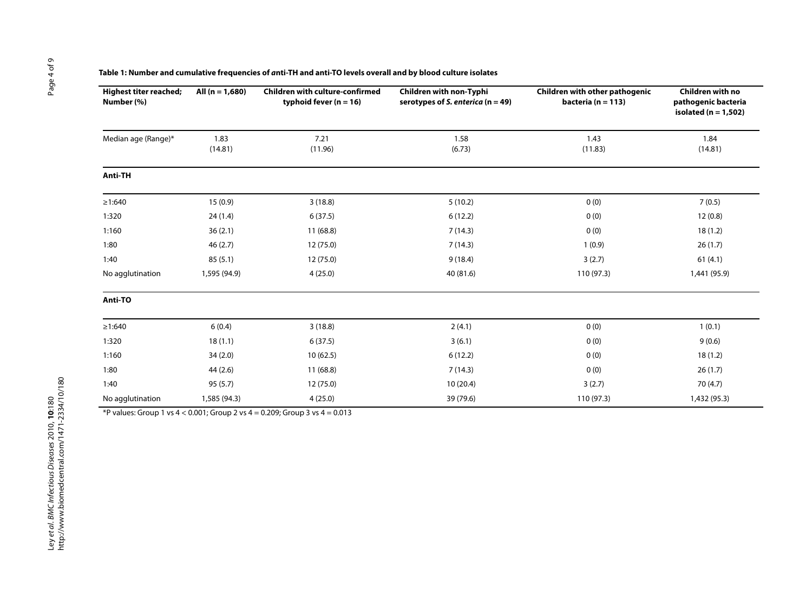| Table 1: Number and cumulative frequencies of <i>a</i> nti-TH and anti-TO levels overall and by blood culture isolates |
|------------------------------------------------------------------------------------------------------------------------|
|------------------------------------------------------------------------------------------------------------------------|

| <b>Highest titer reached;</b><br>Number (%) | All $(n = 1,680)$ | <b>Children with culture-confirmed</b><br>typhoid fever $(n = 16)$ | Children with non-Typhi<br>serotypes of S. enterica ( $n = 49$ ) | Children with other pathogenic<br>bacteria ( $n = 113$ ) | Children with no<br>pathogenic bacteria<br>isolated ( $n = 1,502$ ) |  |
|---------------------------------------------|-------------------|--------------------------------------------------------------------|------------------------------------------------------------------|----------------------------------------------------------|---------------------------------------------------------------------|--|
| Median age (Range)*                         | 1.83<br>(14.81)   | 7.21<br>(11.96)                                                    | 1.58<br>(6.73)                                                   | 1.43<br>(11.83)                                          | 1.84<br>(14.81)                                                     |  |
| <b>Anti-TH</b>                              |                   |                                                                    |                                                                  |                                                          |                                                                     |  |
| $\geq 1:640$                                | 15(0.9)           | 3(18.8)                                                            | 5(10.2)                                                          | 0(0)                                                     | 7(0.5)                                                              |  |
| 1:320                                       | 24(1.4)           | 6(37.5)                                                            | 6(12.2)                                                          | 0(0)                                                     | 12(0.8)                                                             |  |
| 1:160                                       | 36(2.1)           | 11(68.8)                                                           | 7(14.3)                                                          | 0(0)                                                     | 18(1.2)                                                             |  |
| 1:80                                        | 46(2.7)           | 12 (75.0)                                                          | 7(14.3)                                                          | 1(0.9)                                                   | 26(1.7)                                                             |  |
| 1:40                                        | 85(5.1)           | 12 (75.0)                                                          | 9(18.4)                                                          | 3(2.7)                                                   | 61(4.1)                                                             |  |
| No agglutination                            | 1,595 (94.9)      | 4(25.0)                                                            | 40 (81.6)                                                        | 110 (97.3)                                               | 1,441 (95.9)                                                        |  |
| Anti-TO                                     |                   |                                                                    |                                                                  |                                                          |                                                                     |  |
| ≥1:640                                      | 6(0.4)            | 3(18.8)                                                            | 2(4.1)                                                           | 0(0)                                                     | 1(0.1)                                                              |  |
| 1:320                                       | 18(1.1)           | 6(37.5)                                                            | 3(6.1)                                                           | 0(0)                                                     | 9(0.6)                                                              |  |
| 1:160                                       | 34(2.0)           | 10(62.5)                                                           | 6(12.2)                                                          | 0(0)                                                     | 18(1.2)                                                             |  |
| 1:80                                        | 44(2.6)           | 11(68.8)                                                           | 7(14.3)                                                          | 0(0)                                                     | 26(1.7)                                                             |  |
| 1:40                                        | 95(5.7)           | 12 (75.0)                                                          | 10(20.4)                                                         | 3(2.7)                                                   | 70(4.7)                                                             |  |
| No agglutination                            | 1,585 (94.3)      | 4(25.0)                                                            | 39 (79.6)                                                        | 110 (97.3)                                               | 1,432 (95.3)                                                        |  |

\*P values: Group 1 vs  $4 < 0.001$ ; Group 2 vs  $4 = 0.209$ ; Group 3 vs  $4 = 0.013$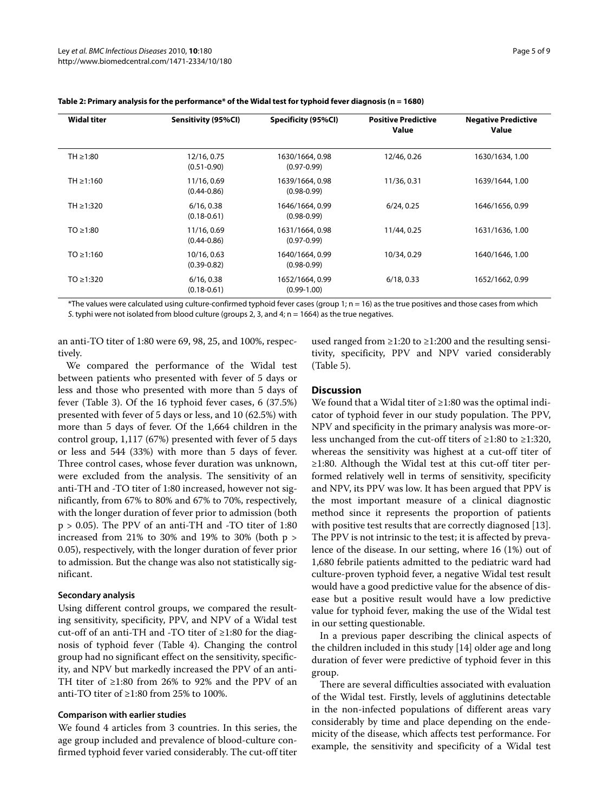| <b>Widal titer</b> | Sensitivity (95%Cl)            | Specificity (95%Cl)                | <b>Positive Predictive</b><br><b>Value</b> | <b>Negative Predictive</b><br><b>Value</b> |
|--------------------|--------------------------------|------------------------------------|--------------------------------------------|--------------------------------------------|
| TH $\geq$ 1:80     | 12/16, 0.75<br>$(0.51 - 0.90)$ | 1630/1664, 0.98<br>$(0.97 - 0.99)$ | 12/46, 0.26                                | 1630/1634, 1.00                            |
| $TH \ge 1:160$     | 11/16, 0.69<br>$(0.44 - 0.86)$ | 1639/1664, 0.98<br>$(0.98 - 0.99)$ | 11/36, 0.31                                | 1639/1644, 1.00                            |
| TH ≥1:320          | 6/16, 0.38<br>$(0.18 - 0.61)$  | 1646/1664, 0.99<br>$(0.98 - 0.99)$ | 6/24, 0.25                                 | 1646/1656, 0.99                            |
| $TO \ge 1:80$      | 11/16, 0.69<br>$(0.44 - 0.86)$ | 1631/1664, 0.98<br>$(0.97 - 0.99)$ | 11/44, 0.25                                | 1631/1636, 1.00                            |
| $TO \ge 1:160$     | 10/16, 0.63<br>$(0.39 - 0.82)$ | 1640/1664, 0.99<br>$(0.98 - 0.99)$ | 10/34, 0.29                                | 1640/1646, 1.00                            |
| $TO \ge 1:320$     | 6/16, 0.38<br>$(0.18 - 0.61)$  | 1652/1664, 0.99<br>$(0.99 - 1.00)$ | 6/18, 0.33                                 | 1652/1662, 0.99                            |

#### **Table 2: Primary analysis for the performance\* of the Widal test for typhoid fever diagnosis (n = 1680)**

\*The values were calculated using culture-confirmed typhoid fever cases (group 1; n = 16) as the true positives and those cases from which S. typhi were not isolated from blood culture (groups 2, 3, and 4;  $n = 1664$ ) as the true negatives.

an anti-TO titer of 1:80 were 69, 98, 25, and 100%, respectively.

We compared the performance of the Widal test between patients who presented with fever of 5 days or less and those who presented with more than 5 days of fever (Table 3). Of the 16 typhoid fever cases, 6 (37.5%) presented with fever of 5 days or less, and 10 (62.5%) with more than 5 days of fever. Of the 1,664 children in the control group, 1,117 (67%) presented with fever of 5 days or less and 544 (33%) with more than 5 days of fever. Three control cases, whose fever duration was unknown, were excluded from the analysis. The sensitivity of an anti-TH and -TO titer of 1:80 increased, however not significantly, from 67% to 80% and 67% to 70%, respectively, with the longer duration of fever prior to admission (both p > 0.05). The PPV of an anti-TH and -TO titer of 1:80 increased from 21% to 30% and 19% to 30% (both  $p >$ 0.05), respectively, with the longer duration of fever prior to admission. But the change was also not statistically significant.

#### **Secondary analysis**

Using different control groups, we compared the resulting sensitivity, specificity, PPV, and NPV of a Widal test cut-off of an anti-TH and -TO titer of ≥1:80 for the diagnosis of typhoid fever (Table 4). Changing the control group had no significant effect on the sensitivity, specificity, and NPV but markedly increased the PPV of an anti-TH titer of ≥1:80 from 26% to 92% and the PPV of an anti-TO titer of ≥1:80 from 25% to 100%.

#### **Comparison with earlier studies**

We found 4 articles from 3 countries. In this series, the age group included and prevalence of blood-culture confirmed typhoid fever varied considerably. The cut-off titer

used ranged from ≥1:20 to ≥1:200 and the resulting sensitivity, specificity, PPV and NPV varied considerably (Table 5).

## **Discussion**

We found that a Widal titer of ≥1:80 was the optimal indicator of typhoid fever in our study population. The PPV, NPV and specificity in the primary analysis was more-orless unchanged from the cut-off titers of ≥1:80 to ≥1:320, whereas the sensitivity was highest at a cut-off titer of ≥1:80. Although the Widal test at this cut-off titer performed relatively well in terms of sensitivity, specificity and NPV, its PPV was low. It has been argued that PPV is the most important measure of a clinical diagnostic method since it represents the proportion of patients with positive test results that are correctly diagnosed [13]. The PPV is not intrinsic to the test; it is affected by prevalence of the disease. In our setting, where 16 (1%) out of 1,680 febrile patients admitted to the pediatric ward had culture-proven typhoid fever, a negative Widal test result would have a good predictive value for the absence of disease but a positive result would have a low predictive value for typhoid fever, making the use of the Widal test in our setting questionable.

In a previous paper describing the clinical aspects of the children included in this study [14] older age and long duration of fever were predictive of typhoid fever in this group.

There are several difficulties associated with evaluation of the Widal test. Firstly, levels of agglutinins detectable in the non-infected populations of different areas vary considerably by time and place depending on the endemicity of the disease, which affects test performance. For example, the sensitivity and specificity of a Widal test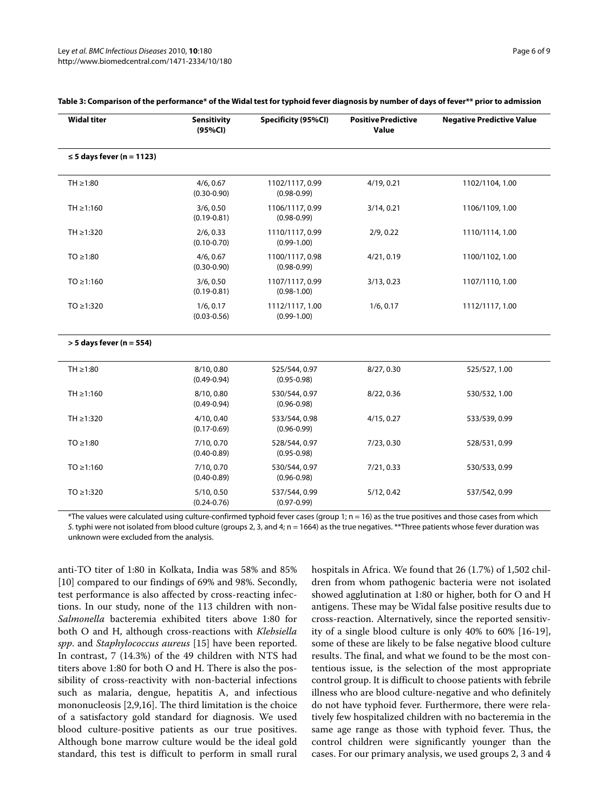| <b>Widal titer</b>                              | <b>Sensitivity</b><br>(95%CI) | Specificity (95%Cl)                | <b>Positive Predictive</b><br>Value | <b>Negative Predictive Value</b> |  |
|-------------------------------------------------|-------------------------------|------------------------------------|-------------------------------------|----------------------------------|--|
| $\leq$ 5 days fever (n = 1123)                  |                               |                                    |                                     |                                  |  |
| $TH \geq 1:80$                                  | 4/6, 0.67<br>$(0.30 - 0.90)$  | 1102/1117, 0.99<br>$(0.98 - 0.99)$ | 4/19, 0.21                          | 1102/1104, 1.00                  |  |
| $TH \ge 1:160$                                  | 3/6, 0.50<br>$(0.19 - 0.81)$  | 1106/1117, 0.99<br>$(0.98 - 0.99)$ | 1106/1109, 1.00                     |                                  |  |
| TH ≥1:320                                       | 2/6, 0.33<br>$(0.10 - 0.70)$  | 1110/1117, 0.99<br>$(0.99 - 1.00)$ | 2/9, 0.22                           | 1110/1114, 1.00                  |  |
| $TO \ge 1:80$                                   | 4/6, 0.67<br>$(0.30 - 0.90)$  | 1100/1117, 0.98<br>$(0.98 - 0.99)$ | 4/21, 0.19                          | 1100/1102, 1.00                  |  |
| $TO \ge 1:160$                                  | 3/6, 0.50<br>$(0.19 - 0.81)$  | 1107/1117, 0.99<br>$(0.98 - 1.00)$ | 3/13, 0.23                          | 1107/1110, 1.00                  |  |
| $TO \ge 1:320$                                  | 1/6, 0.17<br>$(0.03 - 0.56)$  | 1112/1117, 1.00<br>$(0.99 - 1.00)$ | 1/6, 0.17                           | 1112/1117, 1.00                  |  |
| $>$ 5 days fever (n = 554)                      |                               |                                    |                                     |                                  |  |
| TH $\geq$ 1:80                                  | 8/10, 0.80<br>$(0.49 - 0.94)$ | 525/544, 0.97<br>$(0.95 - 0.98)$   | 8/27, 0.30                          | 525/527, 1.00                    |  |
| $TH \ge 1:160$                                  | 8/10, 0.80<br>$(0.49 - 0.94)$ | 530/544, 0.97<br>$(0.96 - 0.98)$   | 8/22, 0.36                          | 530/532, 1.00                    |  |
| TH ≥1:320<br>4/10, 0.40<br>$(0.17 - 0.69)$      |                               | 533/544, 0.98<br>$(0.96 - 0.99)$   | 4/15, 0.27                          | 533/539, 0.99                    |  |
| $TO \geq 1:80$<br>7/10, 0.70<br>$(0.40 - 0.89)$ |                               | 528/544, 0.97<br>$(0.95 - 0.98)$   | 7/23, 0.30                          | 528/531, 0.99                    |  |
| $TO \ge 1:160$<br>7/10, 0.70<br>$(0.40 - 0.89)$ |                               | 530/544, 0.97<br>$(0.96 - 0.98)$   | 7/21, 0.33                          | 530/533, 0.99                    |  |
| $TO \ge 1:320$                                  | 5/10, 0.50<br>$(0.24 - 0.76)$ | 537/544, 0.99<br>$(0.97 - 0.99)$   | 5/12, 0.42                          | 537/542, 0.99                    |  |

#### **Table 3: Comparison of the performance\* of the Widal test for typhoid fever diagnosis by number of days of fever\*\* prior to admission**

 $*$ The values were calculated using culture-confirmed typhoid fever cases (group 1;  $n = 16$ ) as the true positives and those cases from which S. typhi were not isolated from blood culture (groups 2, 3, and 4; n = 1664) as the true negatives. \*\*Three patients whose fever duration was unknown were excluded from the analysis.

anti-TO titer of 1:80 in Kolkata, India was 58% and 85% [10] compared to our findings of 69% and 98%. Secondly, test performance is also affected by cross-reacting infections. In our study, none of the 113 children with non-*Salmonella* bacteremia exhibited titers above 1:80 for both O and H, although cross-reactions with *Klebsiella spp*. and *Staphylococcus aureus* [15] have been reported. In contrast, 7 (14.3%) of the 49 children with NTS had titers above 1:80 for both O and H. There is also the possibility of cross-reactivity with non-bacterial infections such as malaria, dengue, hepatitis A, and infectious mononucleosis [2,9,16]. The third limitation is the choice of a satisfactory gold standard for diagnosis. We used blood culture-positive patients as our true positives. Although bone marrow culture would be the ideal gold standard, this test is difficult to perform in small rural hospitals in Africa. We found that 26 (1.7%) of 1,502 children from whom pathogenic bacteria were not isolated showed agglutination at 1:80 or higher, both for O and H antigens. These may be Widal false positive results due to cross-reaction. Alternatively, since the reported sensitivity of a single blood culture is only 40% to 60% [16-19], some of these are likely to be false negative blood culture results. The final, and what we found to be the most contentious issue, is the selection of the most appropriate control group. It is difficult to choose patients with febrile illness who are blood culture-negative and who definitely do not have typhoid fever. Furthermore, there were relatively few hospitalized children with no bacteremia in the same age range as those with typhoid fever. Thus, the control children were significantly younger than the cases. For our primary analysis, we used groups 2, 3 and 4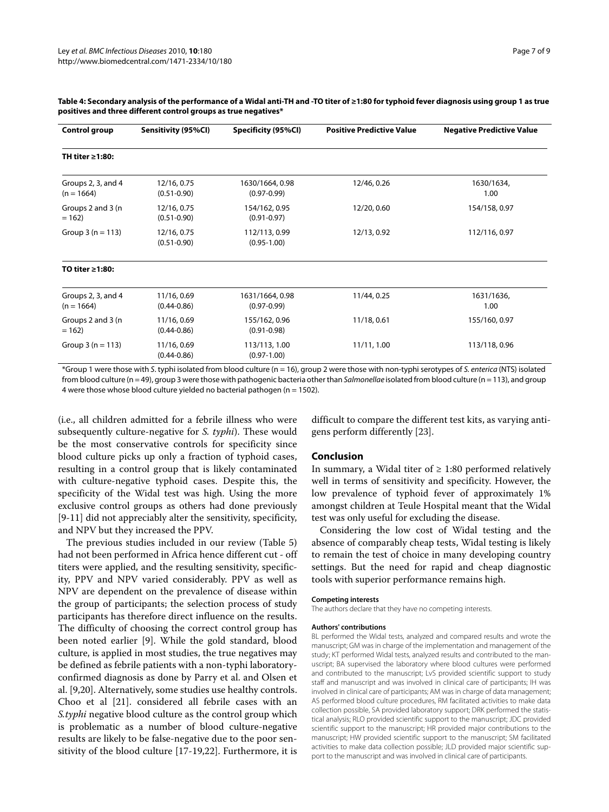| Control group                                        | Sensitivity (95%Cl)            | Specificity (95%Cl)                | <b>Positive Predictive Value</b> | <b>Negative Predictive Value</b> |  |  |
|------------------------------------------------------|--------------------------------|------------------------------------|----------------------------------|----------------------------------|--|--|
| TH titer $\geq 1:80$ :                               |                                |                                    |                                  |                                  |  |  |
| Groups 2, 3, and 4<br>$(n = 1664)$                   | 12/16, 0.75<br>$(0.51 - 0.90)$ | 1630/1664, 0.98<br>$(0.97 - 0.99)$ | 12/46, 0.26                      | 1630/1634,<br>1.00               |  |  |
| Groups 2 and 3 (n<br>$= 162$                         | 12/16, 0.75<br>$(0.51 - 0.90)$ | 154/162, 0.95<br>$(0.91 - 0.97)$   | 12/20, 0.60                      | 154/158, 0.97                    |  |  |
| Group $3(n = 113)$<br>12/16, 0.75<br>$(0.51 - 0.90)$ |                                | 112/113, 0.99<br>$(0.95 - 1.00)$   | 12/13, 0.92                      | 112/116, 0.97                    |  |  |
| TO titer ≥1:80:                                      |                                |                                    |                                  |                                  |  |  |
| Groups 2, 3, and 4<br>$(n = 1664)$                   | 11/16, 0.69<br>$(0.44 - 0.86)$ | 1631/1664, 0.98<br>$(0.97 - 0.99)$ | 11/44, 0.25                      | 1631/1636,<br>1.00               |  |  |
| Groups 2 and 3 (n<br>$= 162$                         | 11/16, 0.69<br>$(0.44 - 0.86)$ | 155/162, 0.96<br>$(0.91 - 0.98)$   | 11/18, 0.61                      | 155/160, 0.97                    |  |  |
| 11/16, 0.69<br>Group $3(n = 113)$<br>$(0.44 - 0.86)$ |                                | 113/113, 1.00<br>$(0.97 - 1.00)$   | 11/11, 1.00                      | 113/118, 0.96                    |  |  |

#### **Table 4: Secondary analysis of the performance of a Widal anti-TH and -TO titer of ≥1:80 for typhoid fever diagnosis using group 1 as true positives and three different control groups as true negatives\***

\*Group 1 were those with S. typhi isolated from blood culture (n = 16), group 2 were those with non-typhi serotypes of S. enterica (NTS) isolated from blood culture (n = 49), group 3 were those with pathogenic bacteria other than Salmonellae isolated from blood culture (n = 113), and group 4 were those whose blood culture yielded no bacterial pathogen ( $n = 1502$ ).

(i.e., all children admitted for a febrile illness who were subsequently culture-negative for *S. typhi*). These would be the most conservative controls for specificity since blood culture picks up only a fraction of typhoid cases, resulting in a control group that is likely contaminated with culture-negative typhoid cases. Despite this, the specificity of the Widal test was high. Using the more exclusive control groups as others had done previously [9-11] did not appreciably alter the sensitivity, specificity, and NPV but they increased the PPV.

The previous studies included in our review (Table 5) had not been performed in Africa hence different cut - off titers were applied, and the resulting sensitivity, specificity, PPV and NPV varied considerably. PPV as well as NPV are dependent on the prevalence of disease within the group of participants; the selection process of study participants has therefore direct influence on the results. The difficulty of choosing the correct control group has been noted earlier [9]. While the gold standard, blood culture, is applied in most studies, the true negatives may be defined as febrile patients with a non-typhi laboratoryconfirmed diagnosis as done by Parry et al. and Olsen et al. [9,20]. Alternatively, some studies use healthy controls. Choo et al [21]. considered all febrile cases with an *S.typhi* negative blood culture as the control group which is problematic as a number of blood culture-negative results are likely to be false-negative due to the poor sensitivity of the blood culture [17-19,22]. Furthermore, it is

difficult to compare the different test kits, as varying antigens perform differently [23].

#### **Conclusion**

In summary, a Widal titer of  $\geq 1:80$  performed relatively well in terms of sensitivity and specificity. However, the low prevalence of typhoid fever of approximately 1% amongst children at Teule Hospital meant that the Widal test was only useful for excluding the disease.

Considering the low cost of Widal testing and the absence of comparably cheap tests, Widal testing is likely to remain the test of choice in many developing country settings. But the need for rapid and cheap diagnostic tools with superior performance remains high.

#### **Competing interests**

The authors declare that they have no competing interests.

#### **Authors' contributions**

BL performed the Widal tests, analyzed and compared results and wrote the manuscript; GM was in charge of the implementation and management of the study; KT performed Widal tests, analyzed results and contributed to the manuscript; BA supervised the laboratory where blood cultures were performed and contributed to the manuscript; LvS provided scientific support to study staff and manuscript and was involved in clinical care of participants; IH was involved in clinical care of participants; AM was in charge of data management; AS performed blood culture procedures, RM facilitated activities to make data collection possible, SA provided laboratory support; DRK performed the statistical analysis; RLO provided scientific support to the manuscript; JDC provided scientific support to the manuscript; HR provided major contributions to the manuscript; HW provided scientific support to the manuscript; SM facilitated activities to make data collection possible; JLD provided major scientific support to the manuscript and was involved in clinical care of participants.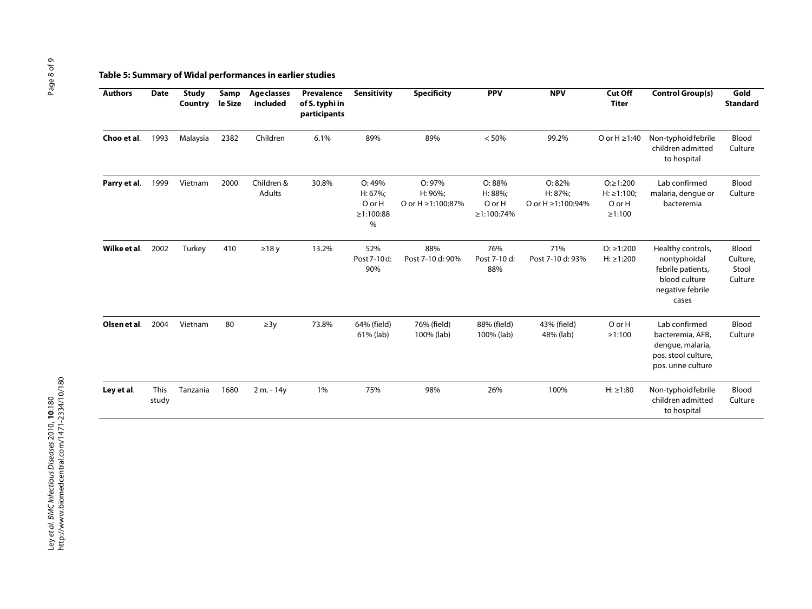## **Table 5: Summary of Widal performances in earlier studies**

| <b>Authors</b> | <b>Date</b>   | <b>Study</b><br>Country | Samp<br>le Size | <b>Age classes</b><br>included | Prevalence<br>of S. typhi in<br>participants | Sensitivity                                      | <b>Specificity</b>                     | <b>PPV</b>                              | <b>NPV</b>                                  | Cut Off<br><b>Titer</b>                                   | <b>Control Group(s)</b>                                                                              | Gold<br><b>Standard</b>               |
|----------------|---------------|-------------------------|-----------------|--------------------------------|----------------------------------------------|--------------------------------------------------|----------------------------------------|-----------------------------------------|---------------------------------------------|-----------------------------------------------------------|------------------------------------------------------------------------------------------------------|---------------------------------------|
| Choo et al.    | 1993          | Malaysia                | 2382            | Children                       | 6.1%                                         | 89%                                              | 89%                                    | < 50%                                   | 99.2%                                       | O or $H \ge 1:40$                                         | Non-typhoid febrile<br>children admitted<br>to hospital                                              | Blood<br>Culture                      |
| Parry et al.   | 1999          | Vietnam                 | 2000            | Children &<br>Adults           | 30.8%                                        | O: 49%<br>H: 67%;<br>O or H<br>≥1:100:88<br>$\%$ | O: 97%<br>H: 96%;<br>O or H ≥1:100:87% | O: 88%<br>H: 88%;<br>OorH<br>≥1:100:74% | O:82%<br>H: 87%;<br>O or $H \ge 1:100:94\%$ | $O: \ge 1:200$<br>$H: \ge 1:100$<br>O or H<br>$\ge$ 1:100 | Lab confirmed<br>malaria, dengue or<br>bacteremia                                                    | Blood<br>Culture                      |
| Wilke et al.   | 2002          | Turkey                  | 410             | $\geq$ 18 y                    | 13.2%                                        | 52%<br>Post 7-10d:<br>90%                        | 88%<br>Post 7-10 d: 90%                | 76%<br>Post 7-10 d:<br>88%              | 71%<br>Post 7-10 d: 93%                     | $O: \geq 1:200$<br>$H: \ge 1:200$                         | Healthy controls,<br>nontyphoidal<br>febrile patients,<br>blood culture<br>negative febrile<br>cases | Blood<br>Culture,<br>Stool<br>Culture |
| Olsen et al.   | 2004          | Vietnam                 | 80              | $\geq 3y$                      | 73.8%                                        | 64% (field)<br>61% (lab)                         | 76% (field)<br>100% (lab)              | 88% (field)<br>100% (lab)               | 43% (field)<br>48% (lab)                    | O or H<br>$\ge$ 1:100                                     | Lab confirmed<br>bacteremia, AFB,<br>dengue, malaria,<br>pos. stool culture,<br>pos. urine culture   | Blood<br>Culture                      |
| Ley et al.     | This<br>study | Tanzania                | 1680            | 2 m. - 14y                     | 1%                                           | 75%                                              | 98%                                    | 26%                                     | 100%                                        | $H: \ge 1:80$                                             | Non-typhoidfebrile<br>children admitted<br>to hospital                                               | Blood<br>Culture                      |